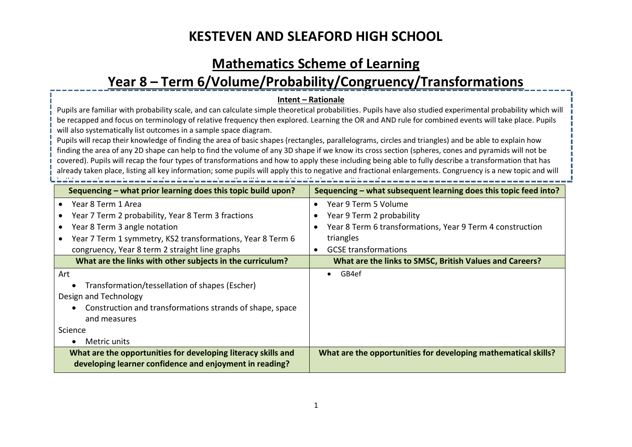### **Mathematics Scheme of Learning**

# **Year 8 – Term 6/Volume/Probability/Congruency/Transformations**

#### **Intent – Rationale**

Pupils are familiar with probability scale, and can calculate simple theoretical probabilities. Pupils have also studied experimental probability which will be recapped and focus on terminology of relative frequency then explored. Learning the OR and AND rule for combined events will take place. Pupils will also systematically list outcomes in a sample space diagram.

Pupils will recap their knowledge of finding the area of basic shapes (rectangles, parallelograms, circles and triangles) and be able to explain how finding the area of any 2D shape can help to find the volume of any 3D shape if we know its cross section (spheres, cones and pyramids will not be covered). Pupils will recap the four types of transformations and how to apply these including being able to fully describe a transformation that has already taken place, listing all key information; some pupils will apply this to negative and fractional enlargements. Congruency is a new topic and will build upon the previous topic of angle rules, and pupils will learn and identify the 4 conditions of congruency.<br>The previous congruency the 4 conditions of congruency the 4 conditions of congruency. The 4 congruency of co

| Sequencing – what prior learning does this topic build upon?                                                             | Sequencing – what subsequent learning does this topic feed into? |
|--------------------------------------------------------------------------------------------------------------------------|------------------------------------------------------------------|
| Year 8 Term 1 Area                                                                                                       | Year 9 Term 5 Volume                                             |
| Year 7 Term 2 probability, Year 8 Term 3 fractions                                                                       | Year 9 Term 2 probability                                        |
| Year 8 Term 3 angle notation                                                                                             | Year 8 Term 6 transformations, Year 9 Term 4 construction        |
| Year 7 Term 1 symmetry, KS2 transformations, Year 8 Term 6                                                               | triangles                                                        |
| congruency, Year 8 term 2 straight line graphs                                                                           | <b>GCSE</b> transformations<br>$\bullet$                         |
| What are the links with other subjects in the curriculum?                                                                | What are the links to SMSC, British Values and Careers?          |
| Art                                                                                                                      | GB4ef                                                            |
| Transformation/tessellation of shapes (Escher)                                                                           |                                                                  |
| Design and Technology                                                                                                    |                                                                  |
| Construction and transformations strands of shape, space                                                                 |                                                                  |
| and measures                                                                                                             |                                                                  |
| Science                                                                                                                  |                                                                  |
| Metric units                                                                                                             |                                                                  |
| What are the opportunities for developing literacy skills and<br>developing learner confidence and enjoyment in reading? | What are the opportunities for developing mathematical skills?   |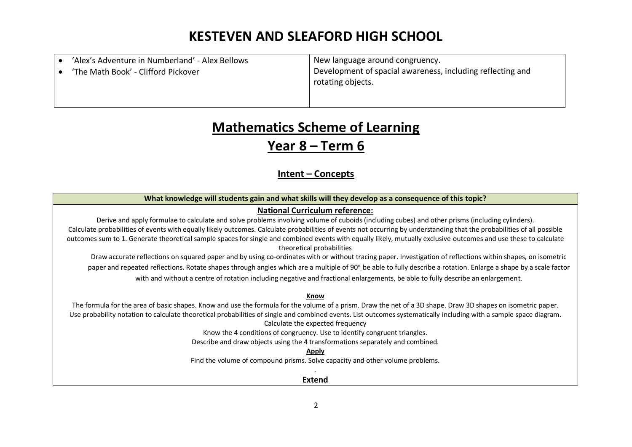| 'Alex's Adventure in Numberland' - Alex Bellows<br>'The Math Book' - Clifford Pickover | New language around congruency.<br>Development of spacial awareness, including reflecting and<br>rotating objects. |
|----------------------------------------------------------------------------------------|--------------------------------------------------------------------------------------------------------------------|
|                                                                                        |                                                                                                                    |

# **Mathematics Scheme of Learning**

### **Year 8 – Term 6**

### **Intent – Concepts**

#### **What knowledge will students gain and what skills will they develop as a consequence of this topic?**

#### **National Curriculum reference:**

Derive and apply formulae to calculate and solve problems involving volume of cuboids (including cubes) and other prisms (including cylinders). Calculate probabilities of events with equally likely outcomes. Calculate probabilities of events not occurring by understanding that the probabilities of all possible outcomes sum to 1. Generate theoretical sample spaces for single and combined events with equally likely, mutually exclusive outcomes and use these to calculate theoretical probabilities

Draw accurate reflections on squared paper and by using co-ordinates with or without tracing paper. Investigation of reflections within shapes, on isometric paper and repeated reflections. Rotate shapes through angles which are a multiple of 90°, be able to fully describe a rotation. Enlarge a shape by a scale factor with and without a centre of rotation including negative and fractional enlargements, be able to fully describe an enlargement.

#### **Know**

The formula for the area of basic shapes. Know and use the formula for the volume of a prism. Draw the net of a 3D shape. Draw 3D shapes on isometric paper. Use probability notation to calculate theoretical probabilities of single and combined events. List outcomes systematically including with a sample space diagram. Calculate the expected frequency

Know the 4 conditions of congruency. Use to identify congruent triangles.

Describe and draw objects using the 4 transformations separately and combined.

#### **Apply**

Find the volume of compound prisms. Solve capacity and other volume problems.

#### . **Extend**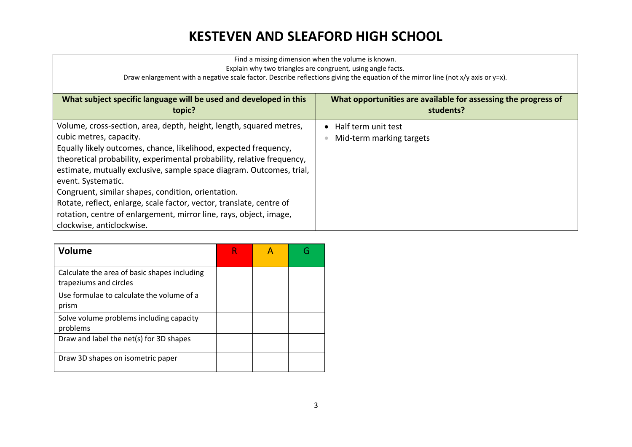| Find a missing dimension when the volume is known.<br>Explain why two triangles are congruent, using angle facts.<br>Draw enlargement with a negative scale factor. Describe reflections giving the equation of the mirror line (not $x/y$ axis or $y=x$ ).                                                                                                                                                                                                                                                                                                                 |                                                                             |  |  |
|-----------------------------------------------------------------------------------------------------------------------------------------------------------------------------------------------------------------------------------------------------------------------------------------------------------------------------------------------------------------------------------------------------------------------------------------------------------------------------------------------------------------------------------------------------------------------------|-----------------------------------------------------------------------------|--|--|
| What subject specific language will be used and developed in this<br>topic?                                                                                                                                                                                                                                                                                                                                                                                                                                                                                                 | What opportunities are available for assessing the progress of<br>students? |  |  |
| Volume, cross-section, area, depth, height, length, squared metres,<br>cubic metres, capacity.<br>Equally likely outcomes, chance, likelihood, expected frequency,<br>theoretical probability, experimental probability, relative frequency,<br>estimate, mutually exclusive, sample space diagram. Outcomes, trial,<br>event. Systematic.<br>Congruent, similar shapes, condition, orientation.<br>Rotate, reflect, enlarge, scale factor, vector, translate, centre of<br>rotation, centre of enlargement, mirror line, rays, object, image,<br>clockwise, anticlockwise. | $\bullet$ Half term unit test<br>Mid-term marking targets                   |  |  |

| <b>Volume</b>                                                          |  |  |
|------------------------------------------------------------------------|--|--|
| Calculate the area of basic shapes including<br>trapeziums and circles |  |  |
| Use formulae to calculate the volume of a<br>prism                     |  |  |
| Solve volume problems including capacity<br>problems                   |  |  |
| Draw and label the net(s) for 3D shapes                                |  |  |
| Draw 3D shapes on isometric paper                                      |  |  |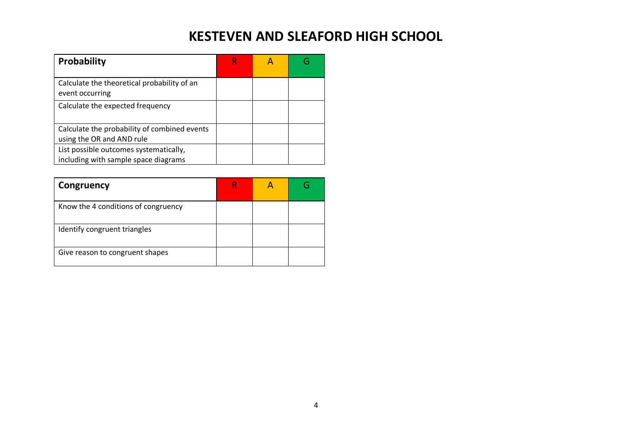| Probability                                                                    |  |  |
|--------------------------------------------------------------------------------|--|--|
| Calculate the theoretical probability of an<br>event occurring                 |  |  |
| Calculate the expected frequency                                               |  |  |
| Calculate the probability of combined events<br>using the OR and AND rule      |  |  |
| List possible outcomes systematically,<br>including with sample space diagrams |  |  |

| Congruency                          |  |  |
|-------------------------------------|--|--|
| Know the 4 conditions of congruency |  |  |
| Identify congruent triangles        |  |  |
| Give reason to congruent shapes     |  |  |